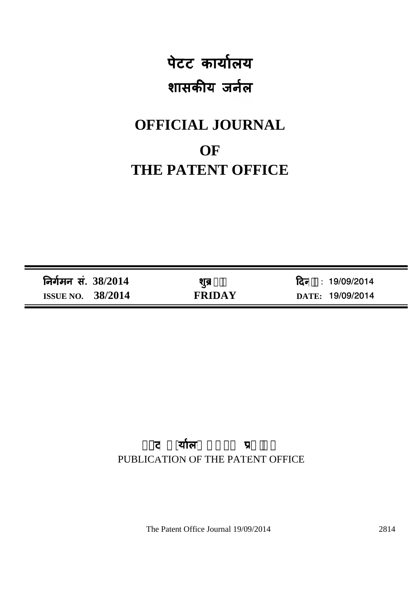# **पेटट का लय शास य ज ल**

# **OFFICIAL JOURNAL OF THE PATENT OFFICE**

| निर्गमन सं. 38/2014        | श्रत्र        | दिन : 19/09/2014 |
|----------------------------|---------------|------------------|
| <b>ISSUE NO.</b> $38/2014$ | <b>FRIDAY</b> | DATE: 19/09/2014 |

# **पे का का का** PUBLICATION OF THE PATENT OFFICE

The Patent Office Journal  $19/09/2014$  2814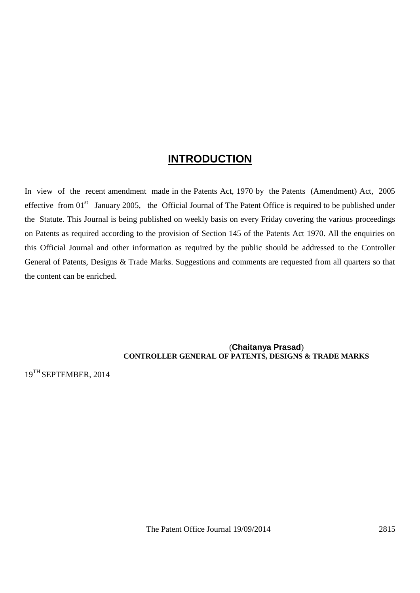## **INTRODUCTION**

In view of the recent amendment made in the Patents Act, 1970 by the Patents (Amendment) Act, 2005 effective from 01<sup>st</sup> January 2005, the Official Journal of The Patent Office is required to be published under the Statute. This Journal is being published on weekly basis on every Friday covering the various proceedings on Patents as required according to the provision of Section 145 of the Patents Act 1970. All the enquiries on this Official Journal and other information as required by the public should be addressed to the Controller General of Patents, Designs & Trade Marks. Suggestions and comments are requested from all quarters so that the content can be enriched.

#### (**Chaitanya Prasad**) **CONTROLLER GENERAL OF PATENTS, DESIGNS & TRADE MARKS**

19TH SEPTEMBER, 2014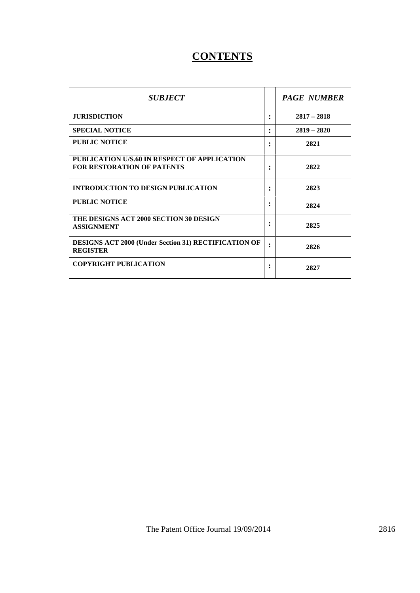# **CONTENTS**

| <b>SUBJECT</b>                                                                    |   | <b>PAGE NUMBER</b> |
|-----------------------------------------------------------------------------------|---|--------------------|
| <b>JURISDICTION</b>                                                               | ٠ | $2817 - 2818$      |
| <b>SPECIAL NOTICE</b>                                                             | ٠ | $2819 - 2820$      |
| <b>PUBLIC NOTICE</b>                                                              |   | 2821               |
| PUBLICATION U/S.60 IN RESPECT OF APPLICATION<br><b>FOR RESTORATION OF PATENTS</b> | ٠ | 2822               |
| <b>INTRODUCTION TO DESIGN PUBLICATION</b>                                         | ٠ | 2823               |
| <b>PUBLIC NOTICE</b>                                                              |   | 2824               |
| THE DESIGNS ACT 2000 SECTION 30 DESIGN<br><b>ASSIGNMENT</b>                       | ٠ | 2825               |
| <b>DESIGNS ACT 2000 (Under Section 31) RECTIFICATION OF</b><br><b>REGISTER</b>    |   | 2826               |
| <b>COPYRIGHT PUBLICATION</b>                                                      | ٠ | 2827               |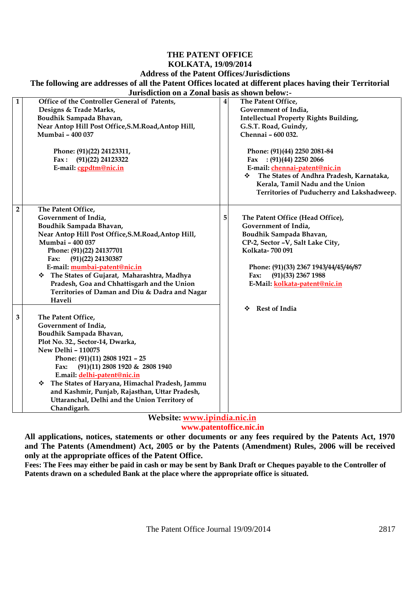#### **THE PATENT OFFICE KOLKATA, 19/09/2014 Address of the Patent Offices/Jurisdictions The following are addresses of all the Patent Offices located at different places having their Territorial**

|                | Jurisdiction on a Zonal basis as shown below:-                                                                                                                                                                                                                                                                                                                                                                     |          |                                                                                                                                                                                                                                                                                                                                                                      |  |  |  |  |
|----------------|--------------------------------------------------------------------------------------------------------------------------------------------------------------------------------------------------------------------------------------------------------------------------------------------------------------------------------------------------------------------------------------------------------------------|----------|----------------------------------------------------------------------------------------------------------------------------------------------------------------------------------------------------------------------------------------------------------------------------------------------------------------------------------------------------------------------|--|--|--|--|
| $\mathbf{1}$   | Office of the Controller General of Patents,<br>Designs & Trade Marks,<br>Boudhik Sampada Bhavan,<br>Near Antop Hill Post Office, S.M. Road, Antop Hill,<br>Mumbai - 400 037<br>Phone: (91)(22) 24123311,<br>$(91)(22)$ 24123322<br>Fax :<br>E-mail: cgpdtm@nic.in                                                                                                                                                 | $\bf{4}$ | The Patent Office,<br>Government of India,<br>Intellectual Property Rights Building,<br>G.S.T. Road, Guindy,<br>Chennai - 600 032.<br>Phone: (91)(44) 2250 2081-84<br>Fax : $(91)(44)$ 2250 2066<br>E-mail: chennai-patent@nic.in<br>The States of Andhra Pradesh, Karnataka,<br>❖<br>Kerala, Tamil Nadu and the Union<br>Territories of Puducherry and Lakshadweep. |  |  |  |  |
| $\overline{2}$ | The Patent Office,<br>Government of India,<br>Boudhik Sampada Bhavan,<br>Near Antop Hill Post Office, S.M. Road, Antop Hill,<br>Mumbai - 400 037<br>Phone: (91)(22) 24137701<br>Fax:<br>$(91)(22)$ 24130387<br>E-mail: mumbai-patent@nic.in<br>* The States of Gujarat, Maharashtra, Madhya<br>Pradesh, Goa and Chhattisgarh and the Union<br>Territories of Daman and Diu & Dadra and Nagar<br>Haveli             | 5        | The Patent Office (Head Office),<br>Government of India,<br>Boudhik Sampada Bhavan,<br>CP-2, Sector -V, Salt Lake City,<br>Kolkata-700 091<br>Phone: (91)(33) 2367 1943/44/45/46/87<br>$(91)(33)$ 2367 1988<br>Fax:<br>E-Mail: kolkata-patent@nic.in                                                                                                                 |  |  |  |  |
| 3              | The Patent Office,<br>Government of India,<br>Boudhik Sampada Bhavan,<br>Plot No. 32., Sector-14, Dwarka,<br>New Delhi - 110075<br>Phone: (91)(11) 2808 1921 - 25<br>$(91)(11)$ 2808 1920 & 2808 1940<br>Fax:<br>E.mail: delhi-patent@nic.in<br>* The States of Haryana, Himachal Pradesh, Jammu<br>and Kashmir, Punjab, Rajasthan, Uttar Pradesh,<br>Uttaranchal, Delhi and the Union Territory of<br>Chandigarh. |          | <b>Rest of India</b><br>❖                                                                                                                                                                                                                                                                                                                                            |  |  |  |  |
|                | Website: www.ipindia.nic.in                                                                                                                                                                                                                                                                                                                                                                                        |          |                                                                                                                                                                                                                                                                                                                                                                      |  |  |  |  |

#### **www.patentoffice.nic.in**

**All applications, notices, statements or other documents or any fees required by the Patents Act, 1970 and The Patents (Amendment) Act, 2005 or by the Patents (Amendment) Rules, 2006 will be received only at the appropriate offices of the Patent Office.**

**Fees: The Fees may either be paid in cash or may be sent by Bank Draft or Cheques payable to the Controller of Patents drawn on a scheduled Bank at the place where the appropriate office is situated.**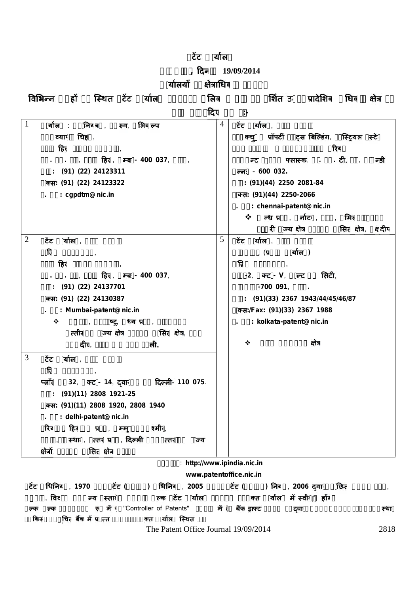# **पे का को काता, नां 19/09/2014 का के का के ते ê**

**पे का के ते आं धा के दे का के**

|                |                                                           | दिए            | $\mathbb{R}^2$                               |  |  |  |
|----------------|-----------------------------------------------------------|----------------|----------------------------------------------|--|--|--|
| $\mathbf{1}$   | र्याल निय्त्र, स्व भिवल्प                                 | $\overline{4}$ | टेंट योल ,                                   |  |  |  |
|                | व्याप चिह <i>्</i>                                        |                | प्रॉपर्टी ट्सबिल्डिंग, स्ट्रियल स्टे<br>क्च् |  |  |  |
|                | हिर<br>and the state of the state of the                  |                | रिय                                          |  |  |  |
|                | . . , <b>हिर</b> , म्ब 400 037,                           |                | फ्लास्क, टी. न्डी<br>न्ट                     |  |  |  |
|                | $(91)$ $(22)$ 24123311                                    |                | न्नः $-600032$ .                             |  |  |  |
|                | क्स: (91) (22) 24123322                                   |                | $(91)(44)$ 2250 2081-84                      |  |  |  |
|                | $\therefore$ : cgpdtm@nic.in                              |                | क्स: (91)(44) 2250-2066                      |  |  |  |
|                |                                                           |                | $\therefore$ chennai-patent@nic.in           |  |  |  |
|                |                                                           |                | ❖ न्धप्र नौटर, सिर                           |  |  |  |
|                |                                                           |                | री ज्यक्षेत्र सितक्षेत्र, क्षदीप             |  |  |  |
| $\overline{2}$ | टेंट<br>र्याल ,                                           | 5              | र्याल<br>ਟੇਂਟ                                |  |  |  |
|                | ন্তি<br>$\sim 10^{-11}$                                   |                | , (प्र योल)                                  |  |  |  |
|                | हित<br>$\mathcal{L}^{\text{max}}_{\text{max}}$            |                | রি<br>$\mathcal{L}(\mathcal{L})$             |  |  |  |
|                | $\cdot$ , Riversity Fig. , Fig. 400 037,                  |                | -2, <b>कट</b> V, ल्ट<br>सिटी,                |  |  |  |
|                | $(91)$ $(22)$ 24137701                                    |                | $-7000091,$<br>$\sim$                        |  |  |  |
|                | क्स: (91) (22) 24130387                                   |                | $(91)(33)$ 2367 1943/44/45/46/87             |  |  |  |
|                | . : Mumbai-patent@nic.in<br>∻ , ष्ट्र, ध्यप्र ,           |                | क्स:/Fax: (91)(33) 2367 1988                 |  |  |  |
|                |                                                           |                | . : kolkata-patent@nic.in                    |  |  |  |
|                | त्तीर ज्यक्षेत्र सितक्षेत्र,                              |                |                                              |  |  |  |
|                | दीव,<br>ली.                                               |                | क्षेत्र<br>❖                                 |  |  |  |
| 3              | र्याल,<br>टेंट                                            |                |                                              |  |  |  |
|                | রি<br>$\sim$ $\sim$ $\sim$                                |                |                                              |  |  |  |
|                | . 32, क्ट - 14, द् <b>वाः , दिल्ली-</b> 110 075.<br>प्लॉट |                |                                              |  |  |  |
|                | $(91)(11)$ 2808 1921-25                                   |                |                                              |  |  |  |
|                | क्स: (91)(11) 2808 1920, 2808 1940                        |                |                                              |  |  |  |
|                | : delhi-patent@nic.in<br>$\mathcal{L}^{\text{max}}$       |                |                                              |  |  |  |
|                | रिय हिन्न प्र म्न्मू श्मीर,                               |                |                                              |  |  |  |
|                | , स्था त्तरप्र दिल्ली त्तर<br>ज्य                         |                |                                              |  |  |  |
|                | सित क्षेत्र<br>क्षेत्रों                                  |                |                                              |  |  |  |
|                |                                                           |                | : http://www.ipindia.nic.in                  |  |  |  |

**www.patentoffice.nic.in**

The Patent Office Journal  $19/09/2014$  2818 **पे** , **1970 था पे (संशो )** , **2005 वा पे (संशो )** , **2006 रा वां भी वे** , **ना** , **या वे या को पे का के के का गे : या तो या** "Controller of Patents" **के ना दे या चे के रा भेजी जा ती है जो सी के सी हो हाँ का है**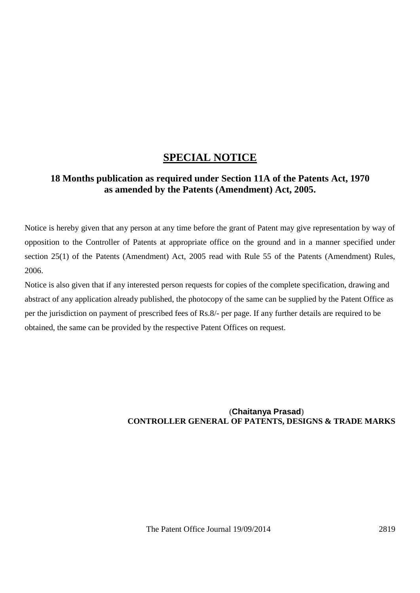## **SPECIAL NOTICE**

## **18 Months publication as required under Section 11A of the Patents Act, 1970 as amended by the Patents (Amendment) Act, 2005.**

Notice is hereby given that any person at any time before the grant of Patent may give representation by way of opposition to the Controller of Patents at appropriate office on the ground and in a manner specified under section 25(1) of the Patents (Amendment) Act, 2005 read with Rule 55 of the Patents (Amendment) Rules, 2006.

Notice is also given that if any interested person requests for copies of the complete specification, drawing and abstract of any application already published, the photocopy of the same can be supplied by the Patent Office as per the jurisdiction on payment of prescribed fees of Rs.8/- per page. If any further details are required to be obtained, the same can be provided by the respective Patent Offices on request.

#### (**Chaitanya Prasad**) **CONTROLLER GENERAL OF PATENTS, DESIGNS & TRADE MARKS**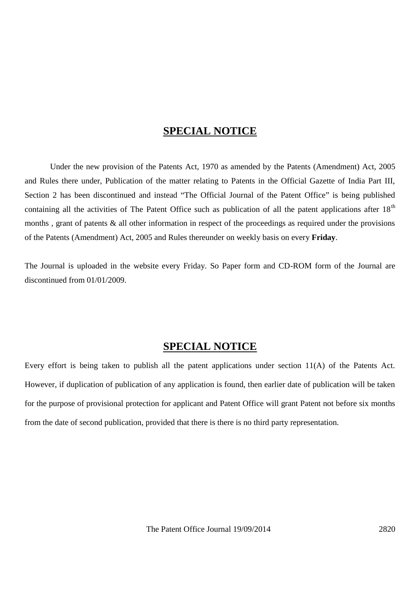### **SPECIAL NOTICE**

Under the new provision of the Patents Act, 1970 as amended by the Patents (Amendment) Act, 2005 and Rules there under, Publication of the matter relating to Patents in the Official Gazette of India Part III, Section 2 has been discontinued and instead "The Official Journal of the Patent Office" is being published containing all the activities of The Patent Office such as publication of all the patent applications after  $18<sup>th</sup>$ months , grant of patents & all other information in respect of the proceedings as required under the provisions of the Patents (Amendment) Act, 2005 and Rules thereunder on weekly basis on every **Friday**.

The Journal is uploaded in the website every Friday. So Paper form and CD-ROM form of the Journal are discontinued from 01/01/2009.

### **SPECIAL NOTICE**

Every effort is being taken to publish all the patent applications under section 11(A) of the Patents Act. However, if duplication of publication of any application is found, then earlier date of publication will be taken for the purpose of provisional protection for applicant and Patent Office will grant Patent not before six months from the date of second publication, provided that there is there is no third party representation.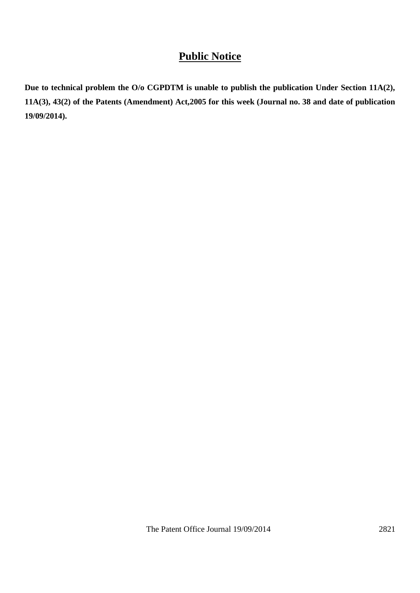# **Public Notice**

**Due to technical problem the O/o CGPDTM is unable to publish the publication Under Section 11A(2), 11A(3), 43(2) of the Patents (Amendment) Act,2005 for this week (Journal no. 38 and date of publication 19/09/2014).**